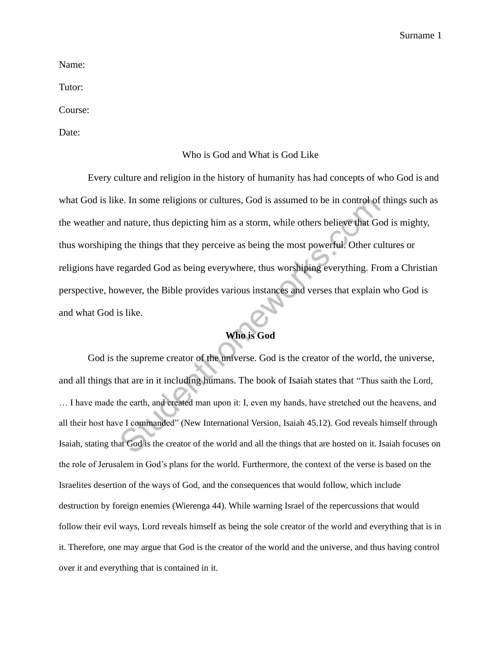Name:

Tutor:

Course:

Date:

## Who is God and What is God Like

Every culture and religion in the history of humanity has had concepts of who God is and what God is like. In some religions or cultures, God is assumed to be in control of things such as the weather and nature, thus depicting him as a storm, while others believe that God is mighty, thus worshiping the things that they perceive as being the most powerful. Other cultures or religions have regarded God as being everywhere, thus worshiping everything. From a Christian perspective, however, the Bible provides various instances and verses that explain who God is and what God is like.

## **Who is God**

God is the supreme creator of the universe. God is the creator of the world, the universe, and all things that are in it including humans. The book of Isaiah states that "Thus saith the Lord, … I have made the earth, and created man upon it: I, even my hands, have stretched out the heavens, and all their host have I commanded" (New International Version, Isaiah 45.12). God reveals himself through Isaiah, stating that God is the creator of the world and all the things that are hosted on it. Isaiah focuses on the role of Jerusalem in God's plans for the world. Furthermore, the context of the verse is based on the Israelites desertion of the ways of God, and the consequences that would follow, which include destruction by foreign enemies (Wierenga 44). While warning Israel of the repercussions that would follow their evil ways, Lord reveals himself as being the sole creator of the world and everything that is in it. Therefore, one may argue that God is the creator of the world and the universe, and thus having control over it and everything that is contained in it.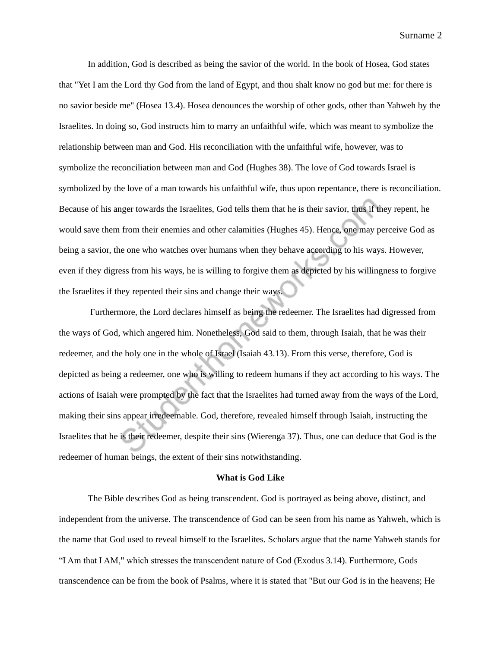Surname 2

In addition, God is described as being the savior of the world. In the book of Hosea, God states that "Yet I am the Lord thy God from the land of Egypt, and thou shalt know no god but me: for there is no savior beside me" (Hosea 13.4). Hosea denounces the worship of other gods, other than Yahweh by the Israelites. In doing so, God instructs him to marry an unfaithful wife, which was meant to symbolize the relationship between man and God. His reconciliation with the unfaithful wife, however, was to symbolize the reconciliation between man and God (Hughes 38). The love of God towards Israel is symbolized by the love of a man towards his unfaithful wife, thus upon repentance, there is reconciliation. Because of his anger towards the Israelites, God tells them that he is their savior, thus if they repent, he would save them from their enemies and other calamities (Hughes 45). Hence, one may perceive God as being a savior, the one who watches over humans when they behave according to his ways. However, even if they digress from his ways, he is willing to forgive them as depicted by his willingness to forgive the Israelites if they repented their sins and change their ways.

Furthermore, the Lord declares himself as being the redeemer. The Israelites had digressed from the ways of God, which angered him. Nonetheless, God said to them, through Isaiah, that he was their redeemer, and the holy one in the whole of Israel (Isaiah 43.13). From this verse, therefore, God is depicted as being a redeemer, one who is willing to redeem humans if they act according to his ways. The actions of Isaiah were prompted by the fact that the Israelites had turned away from the ways of the Lord, making their sins appear irredeemable. God, therefore, revealed himself through Isaiah, instructing the Israelites that he is their redeemer, despite their sins (Wierenga 37). Thus, one can deduce that God is the redeemer of human beings, the extent of their sins notwithstanding.

## **What is God Like**

The Bible describes God as being transcendent. God is portrayed as being above, distinct, and independent from the universe. The transcendence of God can be seen from his name as Yahweh, which is the name that God used to reveal himself to the Israelites. Scholars argue that the name Yahweh stands for "I Am that I AM," which stresses the transcendent nature of God (Exodus 3.14). Furthermore, Gods transcendence can be from the book of Psalms, where it is stated that "But our God is in the heavens; He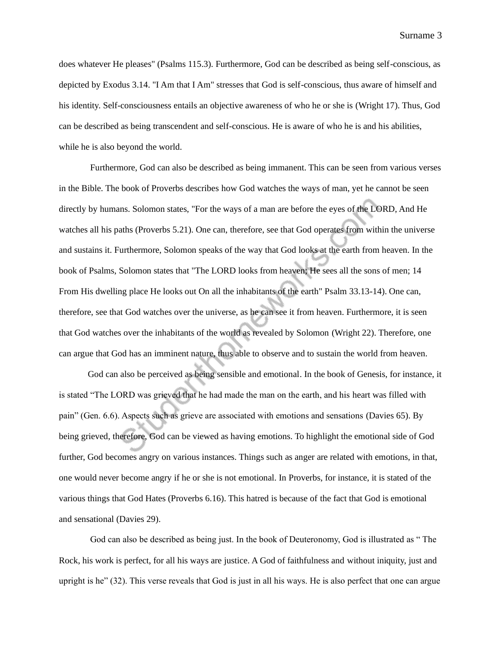Surname 3

does whatever He pleases" (Psalms 115.3). Furthermore, God can be described as being self-conscious, as depicted by Exodus 3.14. "I Am that I Am" stresses that God is self-conscious, thus aware of himself and his identity. Self-consciousness entails an objective awareness of who he or she is (Wright 17). Thus, God can be described as being transcendent and self-conscious. He is aware of who he is and his abilities, while he is also beyond the world.

Furthermore, God can also be described as being immanent. This can be seen from various verses in the Bible. The book of Proverbs describes how God watches the ways of man, yet he cannot be seen directly by humans. Solomon states, "For the ways of a man are before the eyes of the LORD, And He watches all his paths (Proverbs 5.21). One can, therefore, see that God operates from within the universe and sustains it. Furthermore, Solomon speaks of the way that God looks at the earth from heaven. In the book of Psalms, Solomon states that "The LORD looks from heaven; He sees all the sons of men; 14 From His dwelling place He looks out On all the inhabitants of the earth" Psalm 33.13-14). One can, therefore, see that God watches over the universe, as he can see it from heaven. Furthermore, it is seen that God watches over the inhabitants of the world as revealed by Solomon (Wright 22). Therefore, one can argue that God has an imminent nature, thus able to observe and to sustain the world from heaven.

God can also be perceived as being sensible and emotional. In the book of Genesis, for instance, it is stated "The LORD was grieved that he had made the man on the earth, and his heart was filled with pain" (Gen. 6.6). Aspects such as grieve are associated with emotions and sensations (Davies 65). By being grieved, therefore, God can be viewed as having emotions. To highlight the emotional side of God further, God becomes angry on various instances. Things such as anger are related with emotions, in that, one would never become angry if he or she is not emotional. In Proverbs, for instance, it is stated of the various things that God Hates (Proverbs 6.16). This hatred is because of the fact that God is emotional and sensational (Davies 29).

God can also be described as being just. In the book of Deuteronomy, God is illustrated as " The Rock, his work is perfect, for all his ways are justice. A God of faithfulness and without iniquity, just and upright is he" (32). This verse reveals that God is just in all his ways. He is also perfect that one can argue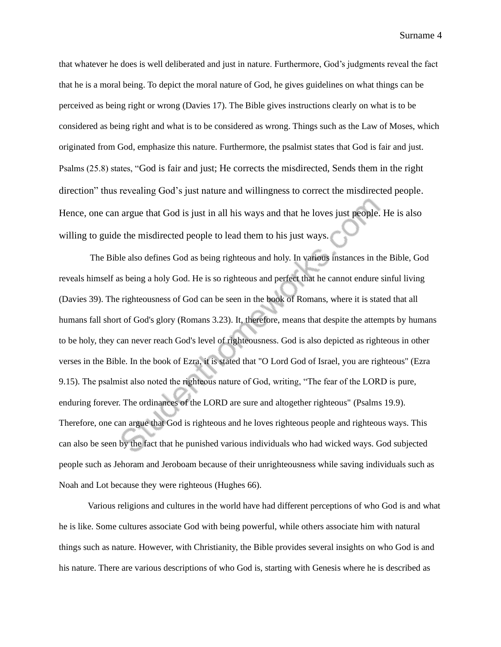Surname 4

that whatever he does is well deliberated and just in nature. Furthermore, God's judgments reveal the fact that he is a moral being. To depict the moral nature of God, he gives guidelines on what things can be perceived as being right or wrong (Davies 17). The Bible gives instructions clearly on what is to be considered as being right and what is to be considered as wrong. Things such as the Law of Moses, which originated from God, emphasize this nature. Furthermore, the psalmist states that God is fair and just. Psalms (25.8) states, "God is fair and just; He corrects the misdirected, Sends them in the right direction" thus revealing God's just nature and willingness to correct the misdirected people. Hence, one can argue that God is just in all his ways and that he loves just people. He is also willing to guide the misdirected people to lead them to his just ways.

The Bible also defines God as being righteous and holy. In various instances in the Bible, God reveals himself as being a holy God. He is so righteous and perfect that he cannot endure sinful living (Davies 39). The righteousness of God can be seen in the book of Romans, where it is stated that all humans fall short of God's glory (Romans 3.23). It, therefore, means that despite the attempts by humans to be holy, they can never reach God's level of righteousness. God is also depicted as righteous in other verses in the Bible. In the book of Ezra, it is stated that "O Lord God of Israel, you are righteous" (Ezra 9.15). The psalmist also noted the righteous nature of God, writing, "The fear of the LORD is pure, enduring forever. The ordinances of the LORD are sure and altogether righteous" (Psalms 19.9). Therefore, one can argue that God is righteous and he loves righteous people and righteous ways. This can also be seen by the fact that he punished various individuals who had wicked ways. God subjected people such as Jehoram and Jeroboam because of their unrighteousness while saving individuals such as Noah and Lot because they were righteous (Hughes 66).

Various religions and cultures in the world have had different perceptions of who God is and what he is like. Some cultures associate God with being powerful, while others associate him with natural things such as nature. However, with Christianity, the Bible provides several insights on who God is and his nature. There are various descriptions of who God is, starting with Genesis where he is described as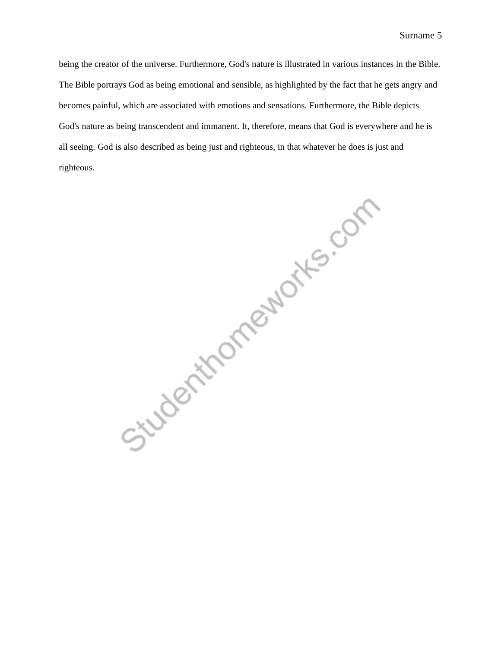being the creator of the universe. Furthermore, God's nature is illustrated in various instances in the Bible. The Bible portrays God as being emotional and sensible, as highlighted by the fact that he gets angry and becomes painful, which are associated with emotions and sensations. Furthermore, the Bible depicts God's nature as being transcendent and immanent. It, therefore, means that God is everywhere and he is all seeing. God is also described as being just and righteous, in that whatever he does is just and righteous.

Studenthomeworks.com